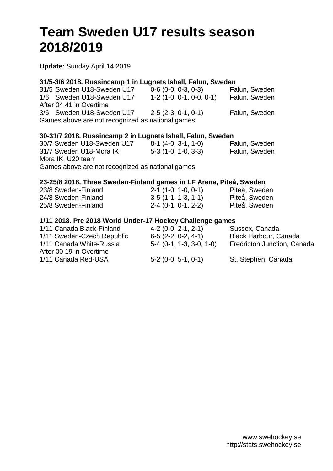# **Team Sweden U17 results season 2018/2019**

**Update:** Sunday April 14 2019

## **31/5-3/6 2018. Russincamp 1 in Lugnets Ishall, Falun, Sweden**

|                                                  | 31/5 Sweden U18-Sweden U17 | $0-6$ (0-0, 0-3, 0-3)     | Falun, Sweden |  |  |  |  |  |  |
|--------------------------------------------------|----------------------------|---------------------------|---------------|--|--|--|--|--|--|
|                                                  | 1/6 Sweden U18-Sweden U17  | $1-2(1-0, 0-1, 0-0, 0-1)$ | Falun, Sweden |  |  |  |  |  |  |
|                                                  | After 04.41 in Overtime    |                           |               |  |  |  |  |  |  |
|                                                  | 3/6 Sweden U18-Sweden U17  | $2-5(2-3, 0-1, 0-1)$      | Falun, Sweden |  |  |  |  |  |  |
| Games above are not recognized as national games |                            |                           |               |  |  |  |  |  |  |

### **30-31/7 2018. Russincamp 2 in Lugnets Ishall, Falun, Sweden**

| 30/7 Sweden U18-Sweden U17                       | $8-1$ (4-0, 3-1, 1-0) | Falun, Sweden |
|--------------------------------------------------|-----------------------|---------------|
| 31/7 Sweden U18-Mora IK                          | $5-3(1-0, 1-0, 3-3)$  | Falun, Sweden |
| Mora IK, U20 team                                |                       |               |
| Games above are not recognized as national games |                       |               |

### **23-25/8 2018. Three Sweden-Finland games in LF Arena, Piteå, Sweden**

| 23/8 Sweden-Finland | $2-1$ (1-0, 1-0, 0-1) | Piteå, Sweden |
|---------------------|-----------------------|---------------|
| 24/8 Sweden-Finland | $3-5(1-1, 1-3, 1-1)$  | Piteå, Sweden |
| 25/8 Sweden-Finland | $2-4$ (0-1, 0-1, 2-2) | Piteå, Sweden |

### **1/11 2018. Pre 2018 World Under-17 Hockey Challenge games**

| 1/11 Canada Black-Finland  | $4-2$ (0-0, 2-1, 2-1)      | Sussex, Canada              |
|----------------------------|----------------------------|-----------------------------|
| 1/11 Sweden-Czech Republic | $6-5$ (2-2, 0-2, 4-1)      | Black Harbour, Canada       |
| 1/11 Canada White-Russia   | $5-4$ (0-1, 1-3, 3-0, 1-0) | Fredricton Junction, Canada |
| After 00.19 in Overtime    |                            |                             |
| 1/11 Canada Red-USA        | $5-2$ (0-0, 5-1, 0-1)      | St. Stephen, Canada         |
|                            |                            |                             |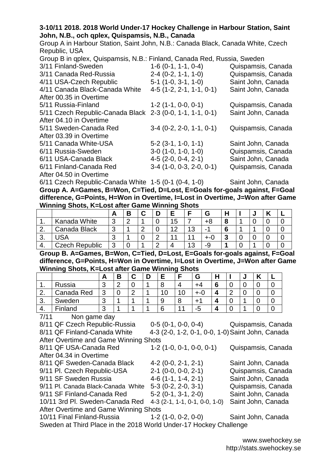#### **3-10/11 2018. 2018 World Under-17 Hockey Challenge in Harbour Station, Saint John, N.B., och qplex, Quispamsis, N.B., Canada**

Group A in Harbour Station, Saint John, N.B.: Canada Black, Canada White, Czech Republic, USA

| Group B in qplex, Quispamsis, N.B.: Finland, Canada Red, Russia, Sweden |                            |                    |  |  |  |  |  |  |  |  |
|-------------------------------------------------------------------------|----------------------------|--------------------|--|--|--|--|--|--|--|--|
| 3/11 Finland-Sweden                                                     | $1-6$ (0-1, 1-1, 0-4)      | Quispamsis, Canada |  |  |  |  |  |  |  |  |
| 3/11 Canada Red-Russia                                                  | $2-4$ (0-2, 1-1, 1-0)      | Quispamsis, Canada |  |  |  |  |  |  |  |  |
| 4/11 USA-Czech Republic                                                 | $5-1$ (1-0, 3-1, 1-0)      | Saint John, Canada |  |  |  |  |  |  |  |  |
| 4/11 Canada Black-Canada White                                          | $4-5$ (1-2, 2-1, 1-1, 0-1) | Saint John, Canada |  |  |  |  |  |  |  |  |
| After 00.35 in Overtime                                                 |                            |                    |  |  |  |  |  |  |  |  |
| 5/11 Russia-Finland                                                     | $1-2(1-1, 0-0, 0-1)$       | Quispamsis, Canada |  |  |  |  |  |  |  |  |
| 5/11 Czech Republic-Canada Black 2-3 (0-0, 1-1, 1-1, 0-1)               |                            | Saint John, Canada |  |  |  |  |  |  |  |  |
| After 04.10 in Overtime                                                 |                            |                    |  |  |  |  |  |  |  |  |
| 5/11 Sweden-Canada Red                                                  | $3-4$ (0-2, 2-0, 1-1, 0-1) | Quispamsis, Canada |  |  |  |  |  |  |  |  |
| After 03.39 in Overtime                                                 |                            |                    |  |  |  |  |  |  |  |  |
| 5/11 Canada White-USA                                                   | $5-2$ (3-1, 1-0, 1-1)      | Saint John, Canada |  |  |  |  |  |  |  |  |
| 6/11 Russia-Sweden                                                      | $3-0$ (1-0, 1-0, 1-0)      | Quispamsis, Canada |  |  |  |  |  |  |  |  |
| 6/11 USA-Canada Black                                                   | $4-5(2-0, 0-4, 2-1)$       | Saint John, Canada |  |  |  |  |  |  |  |  |
| 6/11 Finland-Canada Red                                                 | $3-4$ (1-0, 0-3, 2-0, 0-1) | Quispamsis, Canada |  |  |  |  |  |  |  |  |
| After 04.50 in Overtime                                                 |                            |                    |  |  |  |  |  |  |  |  |

6/11 Czech Republic-Canada White 1-5 (0-1 (0-4, 1-0) Saint John, Canada **Group A. A=Games, B=Won, C=Tied, D=Lost, E=Goals for-goals against, F=Goal difference, G=Points, H=Won in Overtime, I=Lost in Overtime, J=Won after Game Winning Shots, K=Lost after Game Winning Shots**

|     | -              |   |   |            |  |    |    |     |  |  |  |  |  |
|-----|----------------|---|---|------------|--|----|----|-----|--|--|--|--|--|
|     |                | - | В |            |  |    |    |     |  |  |  |  |  |
|     | Kanada White   | ◠ | ⌒ |            |  | 15 |    | +8  |  |  |  |  |  |
|     | Canada Black   | ⌒ |   | $\sqrt{2}$ |  | 12 | 13 | -   |  |  |  |  |  |
| ູບ. | <b>JSA</b>     |   |   |            |  |    |    | +-0 |  |  |  |  |  |
| т.  | Czech Republic | 2 |   |            |  |    | 13 | -9  |  |  |  |  |  |

**Group B. A=Games, B=Won, C=Tied, D=Lost, E=Goals for-goals against, F=Goal difference, G=Points, H=Won in Overtime, I=Lost in Overtime, J=Won after Game Winning Shots, K=Lost after Game Winning Shots**

|          | . .        |        |          |  |   | . . |             |        |             |   |  |
|----------|------------|--------|----------|--|---|-----|-------------|--------|-------------|---|--|
|          |            | A      | D<br>D   |  | Е |     | G           | ш<br>п |             | u |  |
| . .      | Russia     | ◠<br>◡ | ◠<br>. . |  | Ω |     |             | c<br>O | u           |   |  |
| <u>.</u> | Canada Red | າ<br>J |          |  |   | U   |             |        | $\sim$<br>_ |   |  |
| J.       | Sweden     | ⌒<br>J |          |  | w | О   | $+^{\circ}$ |        | ື           |   |  |
| 4.       | Finland    | ⌒<br>J |          |  |   |     | -5          |        |             |   |  |
| .        | $ -$       |        |          |  |   |     |             |        |             |   |  |

7/11 Non game day

After 04.34 in Overtime

After Overtime and Game Winning Shots

8/11 QF Czech Republic-Russia 0-5 (0-1, 0-0, 0-4) Quispamsis, Canada 8/11 QF Finland-Canada White 4-3 (2-0, 1-2, 0-1, 0-0, 1-0)Saint John, Canada

8/11 QF USA-Canada Red 1-2 (1-0, 0-1, 0-0, 0-1) Quispamsis, Canada

8/11 QF Sweden-Canada Black 4-2 (0-0, 2-1, 2-1) Saint John, Canada 9/11 Pl. Czech Republic-USA 2-1 (0-0, 0-0, 2-1) Quispamsis, Canada 9/11 SF Sweden Russia 4-6 (1-1, 1-4, 2-1) Saint John, Canada 9/11 Pl. Canada Black-Canada White 5-3 (0-2, 2-0, 3-1) Quispamsis, Canada 9/11 SF Finland-Canada Red 5-2 (0-1, 3-1, 2-0) Saint John, Canada

10/11 3rd Pl. Sweden-Canada Red 4-3 (2-1, 1-1, 0-1, 0-0, 1-0) Saint John, Canada After Overtime and Game Winning Shots

10/11 Final Finland-Russia 1-2 (1-0, 0-2, 0-0) Saint John, Canada

Sweden at Third Place in the 2018 World Under-17 Hockey Challenge